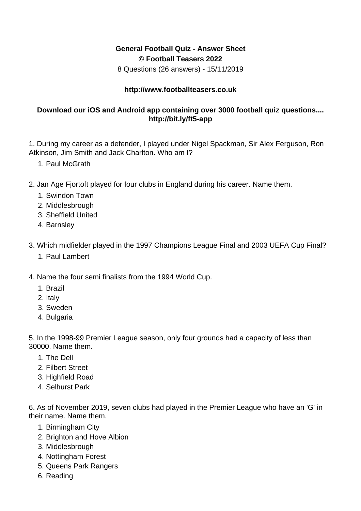## **General Football Quiz - Answer Sheet © Football Teasers 2022**

8 Questions (26 answers) - 15/11/2019

## **http://www.footballteasers.co.uk**

## **Download our iOS and Android app containing over 3000 football quiz questions.... http://bit.ly/ft5-app**

1. During my career as a defender, I played under Nigel Spackman, Sir Alex Ferguson, Ron Atkinson, Jim Smith and Jack Charlton. Who am I?

- 1. Paul McGrath
- 2. Jan Age Fjortoft played for four clubs in England during his career. Name them.
	- 1. Swindon Town
	- 2. Middlesbrough
	- 3. Sheffield United
	- 4. Barnsley
- 3. Which midfielder played in the 1997 Champions League Final and 2003 UEFA Cup Final?
	- 1. Paul Lambert
- 4. Name the four semi finalists from the 1994 World Cup.
	- 1. Brazil
	- 2. Italy
	- 3. Sweden
	- 4. Bulgaria

5. In the 1998-99 Premier League season, only four grounds had a capacity of less than 30000. Name them.

- 1. The Dell
- 2. Filbert Street
- 3. Highfield Road
- 4. Selhurst Park

6. As of November 2019, seven clubs had played in the Premier League who have an 'G' in their name. Name them.

- 1. Birmingham City
- 2. Brighton and Hove Albion
- 3. Middlesbrough
- 4. Nottingham Forest
- 5. Queens Park Rangers
- 6. Reading